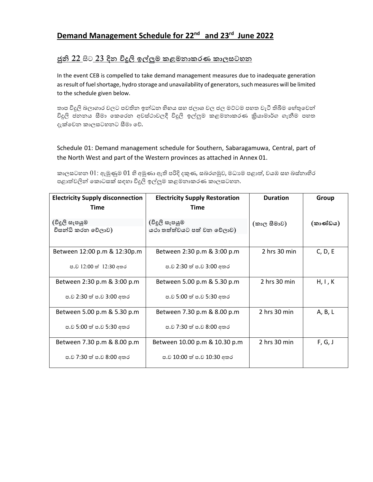## **Demand Management Schedule for 22nd and 23rd June 2022**

## <u>ජුනි 22 සිට 23 දින විදුලි ඉල්ලුම කළමනාකරණ කාලසටහන </u>

In the event CEB is compelled to take demand management measures due to inadequate generation as result of fuel shortage, hydro storage and unavailability of generators, such measures will be limited to the schedule given below.

තාප විදුලි බලාගාර වලට පවතින ඉන්ධන හිහය සහ ජලාශ වල ජල මට්ටම පහත වැටී තිබීම හේතුවෙන් විදුලි ජනනය සීමා කෙරෙන අවස්ථාවලදී විදුලි ඉල්ලුම කළමනාකරණ කියාමාර්ග ගැනීම පහත දැක්වෙන කාලසටහනට සීමා වේ.

Schedule 01: Demand management schedule for Southern, Sabaragamuwa, Central, part of the North West and part of the Western provinces as attached in Annex 01.

කාලසටහන  $01$ : ඇමුණුම  $01$  හි අමුණා ඇති පරිදි දකුණ, සබරගමුව, මධාගම පළාත්, වයඹ සහ බස්නාහිර පළාත්වලින් කොටසක් සඳහා විදුලි ඉල්ලුම කළමනාකරණ කාලසටහන.

| <b>Electricity Supply disconnection</b><br>Time | <b>Electricity Supply Restoration</b><br>Time | <b>Duration</b>  | Group    |
|-------------------------------------------------|-----------------------------------------------|------------------|----------|
| (විදූලි සැපයුම<br>විසන්ධි කරන වේලාව)            | (විදූලි සැපයුම<br>යථා තත්ත්වයට පත් වන වේලාව)  | (කාල සීමාව)      | (කාණ්ඩය) |
| Between 12:00 p.m & 12:30p.m                    | Between 2:30 p.m & 3:00 p.m                   | 2 hrs 30 min     | C, D, E  |
| ප.ව 12:00 ත් 12:30 අතර                          | ප.ව 2:30 ත් ප.ව 3:00 අතර                      |                  |          |
| Between 2:30 p.m & 3:00 p.m                     | Between 5.00 p.m & 5.30 p.m                   | 2 hrs 30 min     | H, I, K  |
| ප.ව 2:30 ත් ප.ව 3:00 අතර                        | ප.ව 5:00 ත් ප.ව 5:30 අතර                      |                  |          |
| Between 5.00 p.m & 5.30 p.m                     | Between 7.30 p.m & 8.00 p.m                   | 2 hrs 30 min     | A, B, L  |
| ප.ව 5:00 ත් ප.ව 5:30 අතර                        | ප.ව 7:30 ත් ප.ව 8:00 අතර                      |                  |          |
| Between 7.30 p.m & 8.00 p.m                     | Between 10.00 p.m & 10.30 p.m                 | $2$ hrs $30$ min | F, G, J  |
| ප.ව 7:30 ත් ප.ව 8:00 අතර                        | ප.ව 10:00 ත් ප.ව 10:30 අතර                    |                  |          |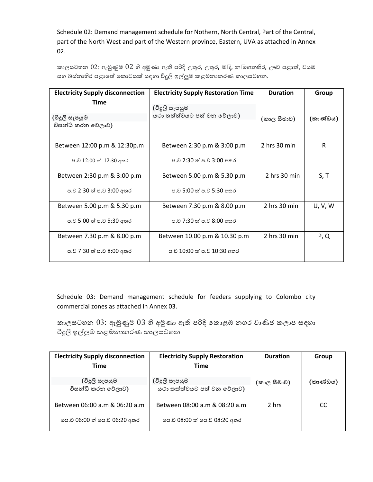Schedule 02: Demand management schedule for Nothern, North Central, Part of the Central, part of the North West and part of the Western province, Eastern, UVA as attached in Annex 02.

කාලසටහන  $02$ : ඇමුණුම  $02$  හි අමුණා ඇති පරිදි උතුර, උතුරු ම $\mathbb{I}_{\mathsf{f}}$ , න $\mathbb{I}$ ගනහිර, ඌව පළාත්, වයඹ සහ බස්නාහිර පළාතේ කොටසක් සඳහා විදුලි ඉල්ලුම කළමනාකරණ කාලසටහන.

| <b>Electricity Supply disconnection</b><br><b>Time</b> | <b>Electricity Supply Restoration Time</b> | <b>Duration</b>  | Group    |
|--------------------------------------------------------|--------------------------------------------|------------------|----------|
|                                                        | (විදූලි සැපයුම                             |                  |          |
| (විදූලි සැපයුම                                         | යථා තත්ත්වයට පත් වන වේලාව)                 | (කාල සීමාව)      | (කාණ්ඩය) |
| විසන්ධි කරන වේලාව)                                     |                                            |                  |          |
| Between 12:00 p.m & 12:30p.m                           | Between 2:30 p.m & 3:00 p.m                | 2 hrs 30 min     | R        |
| ප.ව 12:00 ත් 12:30 අතර                                 | ප.ව 2:30 ත් ප.ව 3:00 අතර                   |                  |          |
| Between 2:30 p.m & 3:00 p.m                            | Between 5.00 p.m & 5.30 p.m                | $2$ hrs $30$ min | S, T     |
| ප.ව 2:30 ත් ප.ව 3:00 අතර                               | ප.ව 5:00 ත් ප.ව 5:30 අතර                   |                  |          |
| Between 5.00 p.m & 5.30 p.m                            | Between 7.30 p.m & 8.00 p.m                | 2 hrs 30 min     | U, V, W  |
| ප.ව 5:00 ත් ප.ව 5:30 අතර                               | ප.ව 7:30 ත් ප.ව 8:00 අතර                   |                  |          |
| Between 7.30 p.m & 8.00 p.m                            | Between 10.00 p.m & 10.30 p.m              | $2$ hrs $30$ min | P, Q     |
| ප.ව 7:30 ත් ප.ව 8:00 අතර                               | ප.ව 10:00 ත් ප.ව 10:30 අතර                 |                  |          |

Schedule 03: Demand management schedule for feeders supplying to Colombo city commercial zones as attached in Annex 03.

කාලසටහන  $03$ : ඇමුණුම  $03$  හි අමුණා ඇති පරිදි කොළඹ නගර වාණිජ කලාප සඳහා විදුලි ඉල්ලුම කළමනාකරණ කාලසටහන

| <b>Electricity Supply disconnection</b> | <b>Electricity Supply Restoration</b> | <b>Duration</b> | Group    |
|-----------------------------------------|---------------------------------------|-----------------|----------|
| <b>Time</b>                             | <b>Time</b>                           |                 |          |
| (විදූලි සැපයුම                          | (විදූලි සැපයුම                        | (කාල සීමාව)     | (කාණ්ඩය) |
| විසන්ධි කරන වේලාව)                      | යථා තත්ත්වයට පත් වන වේලාව)            |                 |          |
| Between 06:00 a.m & 06:20 a.m           | Between 08:00 a.m & 08:20 a.m         | 2 hrs           | CC       |
| පෙ.ව 06:00 ත් පෙ.ව 06:20 අතර            | පෙ.ව 08:00 ත් පෙ.ව 08:20 අතර          |                 |          |